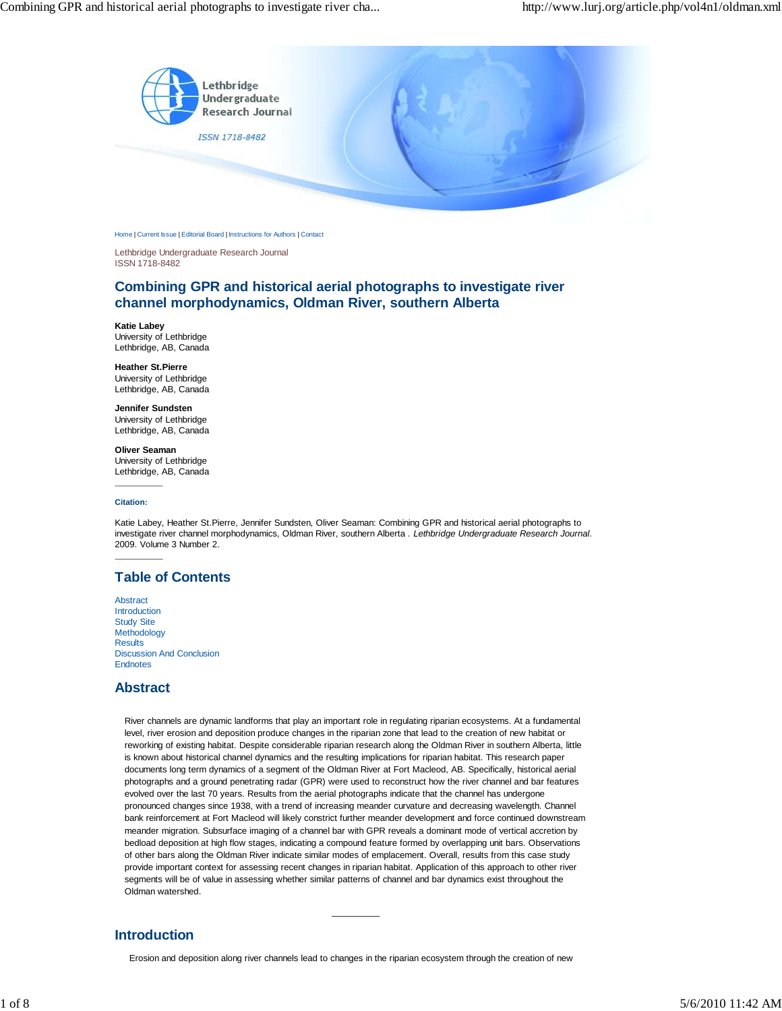

Home | Current Issue | Editorial Board | Instructions for Authors | Contact

Lethbridge Undergraduate Research Journal ISSN 1718-8482

# **Combining GPR and historical aerial photographs to investigate river channel morphodynamics, Oldman River, southern Alberta**

**Katie Labey** University of Lethbridge Lethbridge, AB, Canada

**Heather St.Pierre** University of Lethbridge Lethbridge, AB, Canada

**Jennifer Sundsten** University of Lethbridge Lethbridge, AB, Canada

**Oliver Seaman** University of Lethbridge Lethbridge, AB, Canada

**Citation:**

Katie Labey, Heather St.Pierre, Jennifer Sundsten, Oliver Seaman: Combining GPR and historical aerial photographs to investigate river channel morphodynamics, Oldman River, southern Alberta *. Lethbridge Undergraduate Research Journal.* 2009. Volume 3 Number 2.

# **Table of Contents**

Abstract Introduction Study Site Methodology **Results** Discussion And Conclusion Endnotes

## **Abstract**

River channels are dynamic landforms that play an important role in regulating riparian ecosystems. At a fundamental level, river erosion and deposition produce changes in the riparian zone that lead to the creation of new habitat or reworking of existing habitat. Despite considerable riparian research along the Oldman River in southern Alberta, little is known about historical channel dynamics and the resulting implications for riparian habitat. This research paper documents long term dynamics of a segment of the Oldman River at Fort Macleod, AB. Specifically, historical aerial photographs and a ground penetrating radar (GPR) were used to reconstruct how the river channel and bar features evolved over the last 70 years. Results from the aerial photographs indicate that the channel has undergone pronounced changes since 1938, with a trend of increasing meander curvature and decreasing wavelength. Channel bank reinforcement at Fort Macleod will likely constrict further meander development and force continued downstream meander migration. Subsurface imaging of a channel bar with GPR reveals a dominant mode of vertical accretion by bedload deposition at high flow stages, indicating a compound feature formed by overlapping unit bars. Observations of other bars along the Oldman River indicate similar modes of emplacement. Overall, results from this case study provide important context for assessing recent changes in riparian habitat. Application of this approach to other river segments will be of value in assessing whether similar patterns of channel and bar dynamics exist throughout the Oldman watershed.

# **Introduction**

Erosion and deposition along river channels lead to changes in the riparian ecosystem through the creation of new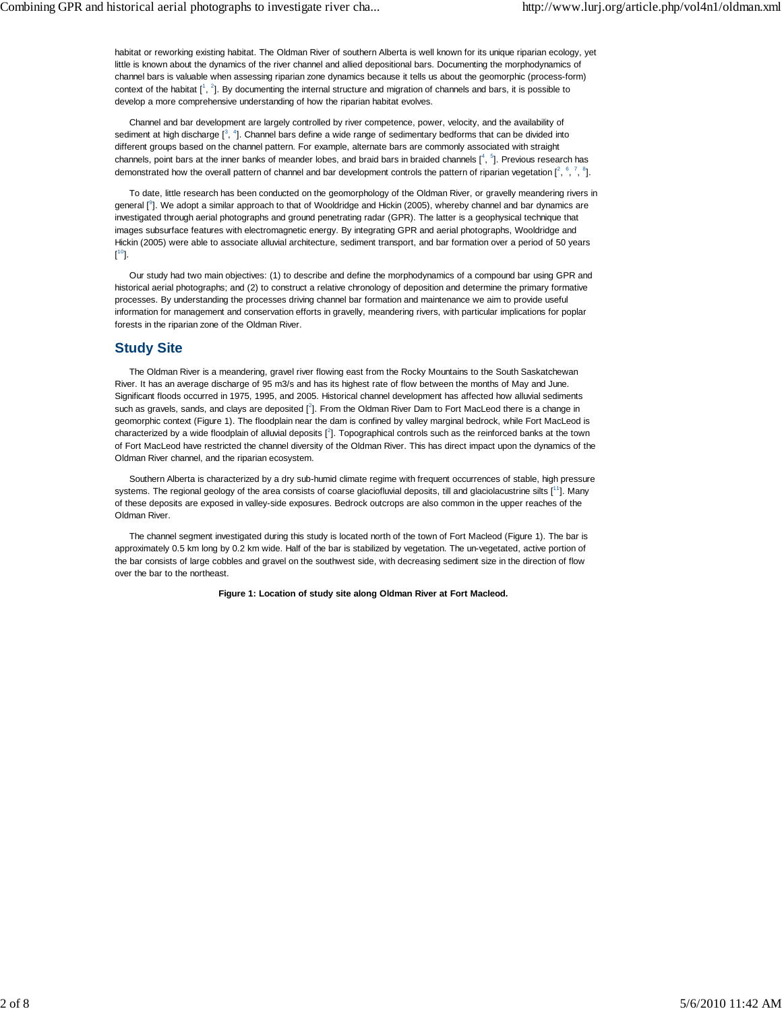habitat or reworking existing habitat. The Oldman River of southern Alberta is well known for its unique riparian ecology, yet little is known about the dynamics of the river channel and allied depositional bars. Documenting the morphodynamics of channel bars is valuable when assessing riparian zone dynamics because it tells us about the geomorphic (process-form) context of the habitat  $[1, 2]$ . By documenting the internal structure and migration of channels and bars, it is possible to develop a more comprehensive understanding of how the riparian habitat evolves.

Channel and bar development are largely controlled by river competence, power, velocity, and the availability of sediment at high discharge  $[3, 4]$ . Channel bars define a wide range of sedimentary bedforms that can be divided into different groups based on the channel pattern. For example, alternate bars are commonly associated with straight channels, point bars at the inner banks of meander lobes, and braid bars in braided channels  $[$ <sup>4</sup>,  $^5$ ]. Previous research has demonstrated how the overall pattern of channel and bar development controls the pattern of riparian vegetation  $[^2, ^6, ^7, ^8]$ .

To date, little research has been conducted on the geomorphology of the Oldman River, or gravelly meandering rivers in general [<sup>9</sup>]. We adopt a similar approach to that of Wooldridge and Hickin (2005), whereby channel and bar dynamics are investigated through aerial photographs and ground penetrating radar (GPR). The latter is a geophysical technique that images subsurface features with electromagnetic energy. By integrating GPR and aerial photographs, Wooldridge and Hickin (2005) were able to associate alluvial architecture, sediment transport, and bar formation over a period of 50 years  $[^{10}].$ 

Our study had two main objectives: (1) to describe and define the morphodynamics of a compound bar using GPR and historical aerial photographs; and (2) to construct a relative chronology of deposition and determine the primary formative processes. By understanding the processes driving channel bar formation and maintenance we aim to provide useful information for management and conservation efforts in gravelly, meandering rivers, with particular implications for poplar forests in the riparian zone of the Oldman River.

## **Study Site**

The Oldman River is a meandering, gravel river flowing east from the Rocky Mountains to the South Saskatchewan River. It has an average discharge of 95 m3/s and has its highest rate of flow between the months of May and June. Significant floods occurred in 1975, 1995, and 2005. Historical channel development has affected how alluvial sediments such as gravels, sands, and clays are deposited  $[^2]$ . From the Oldman River Dam to Fort MacLeod there is a change in geomorphic context (Figure 1). The floodplain near the dam is confined by valley marginal bedrock, while Fort MacLeod is characterized by a wide floodplain of alluvial deposits  $[^2]$ . Topographical controls such as the reinforced banks at the town of Fort MacLeod have restricted the channel diversity of the Oldman River. This has direct impact upon the dynamics of the Oldman River channel, and the riparian ecosystem.

Southern Alberta is characterized by a dry sub-humid climate regime with frequent occurrences of stable, high pressure systems. The regional geology of the area consists of coarse glaciofluvial deposits, till and glaciolacustrine silts [11]. Many of these deposits are exposed in valley-side exposures. Bedrock outcrops are also common in the upper reaches of the Oldman River.

The channel segment investigated during this study is located north of the town of Fort Macleod (Figure 1). The bar is approximately 0.5 km long by 0.2 km wide. Half of the bar is stabilized by vegetation. The un-vegetated, active portion of the bar consists of large cobbles and gravel on the southwest side, with decreasing sediment size in the direction of flow over the bar to the northeast.

**Figure 1: Location of study site along Oldman River at Fort Macleod.**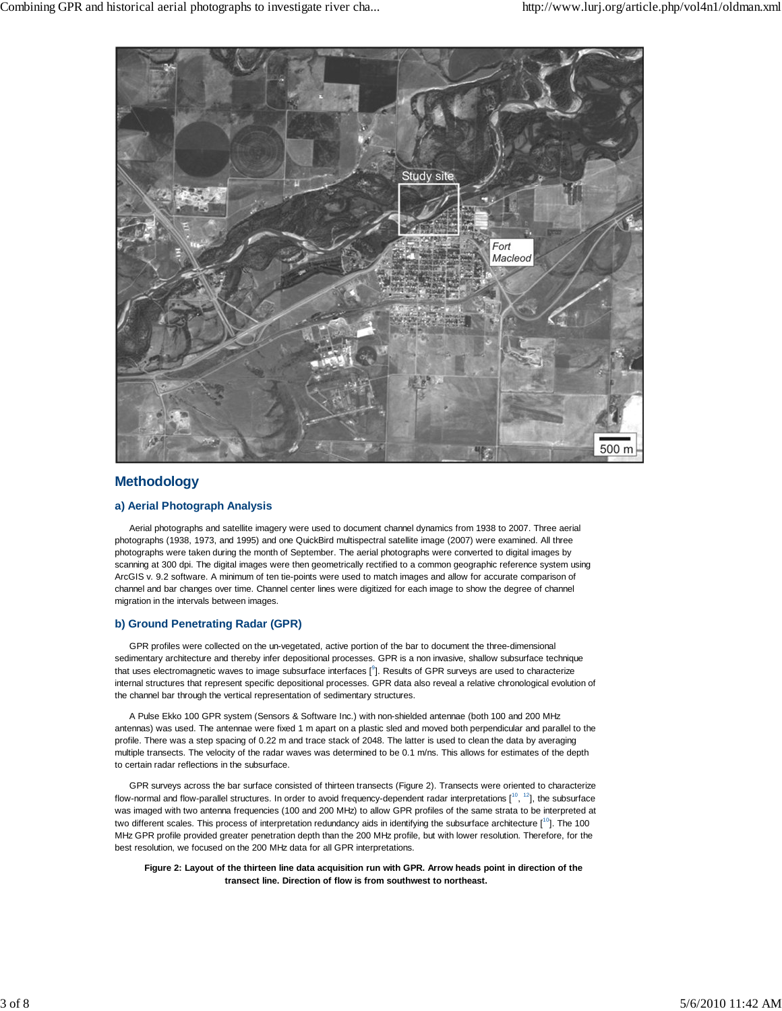

# **Methodology**

### **a) Aerial Photograph Analysis**

Aerial photographs and satellite imagery were used to document channel dynamics from 1938 to 2007. Three aerial photographs (1938, 1973, and 1995) and one QuickBird multispectral satellite image (2007) were examined. All three photographs were taken during the month of September. The aerial photographs were converted to digital images by scanning at 300 dpi. The digital images were then geometrically rectified to a common geographic reference system using ArcGIS v. 9.2 software. A minimum of ten tie-points were used to match images and allow for accurate comparison of channel and bar changes over time. Channel center lines were digitized for each image to show the degree of channel migration in the intervals between images.

### **b) Ground Penetrating Radar (GPR)**

GPR profiles were collected on the un-vegetated, active portion of the bar to document the three-dimensional sedimentary architecture and thereby infer depositional processes. GPR is a non invasive, shallow subsurface technique that uses electromagnetic waves to image subsurface interfaces  $[$ <sup>3</sup>]. Results of GPR surveys are used to characterize internal structures that represent specific depositional processes. GPR data also reveal a relative chronological evolution of the channel bar through the vertical representation of sedimentary structures.

A Pulse Ekko 100 GPR system (Sensors & Software Inc.) with non-shielded antennae (both 100 and 200 MHz antennas) was used. The antennae were fixed 1 m apart on a plastic sled and moved both perpendicular and parallel to the profile. There was a step spacing of 0.22 m and trace stack of 2048. The latter is used to clean the data by averaging multiple transects. The velocity of the radar waves was determined to be 0.1 m/ns. This allows for estimates of the depth to certain radar reflections in the subsurface.

GPR surveys across the bar surface consisted of thirteen transects (Figure 2). Transects were oriented to characterize flow-normal and flow-parallel structures. In order to avoid frequency-dependent radar interpretations  $[10, 12]$ , the subsurface was imaged with two antenna frequencies (100 and 200 MHz) to allow GPR profiles of the same strata to be interpreted at two different scales. This process of interpretation redundancy aids in identifying the subsurface architecture [<sup>10</sup>]. The 100 MHz GPR profile provided greater penetration depth than the 200 MHz profile, but with lower resolution. Therefore, for the best resolution, we focused on the 200 MHz data for all GPR interpretations.

**Figure 2: Layout of the thirteen line data acquisition run with GPR. Arrow heads point in direction of the transect line. Direction of flow is from southwest to northeast.**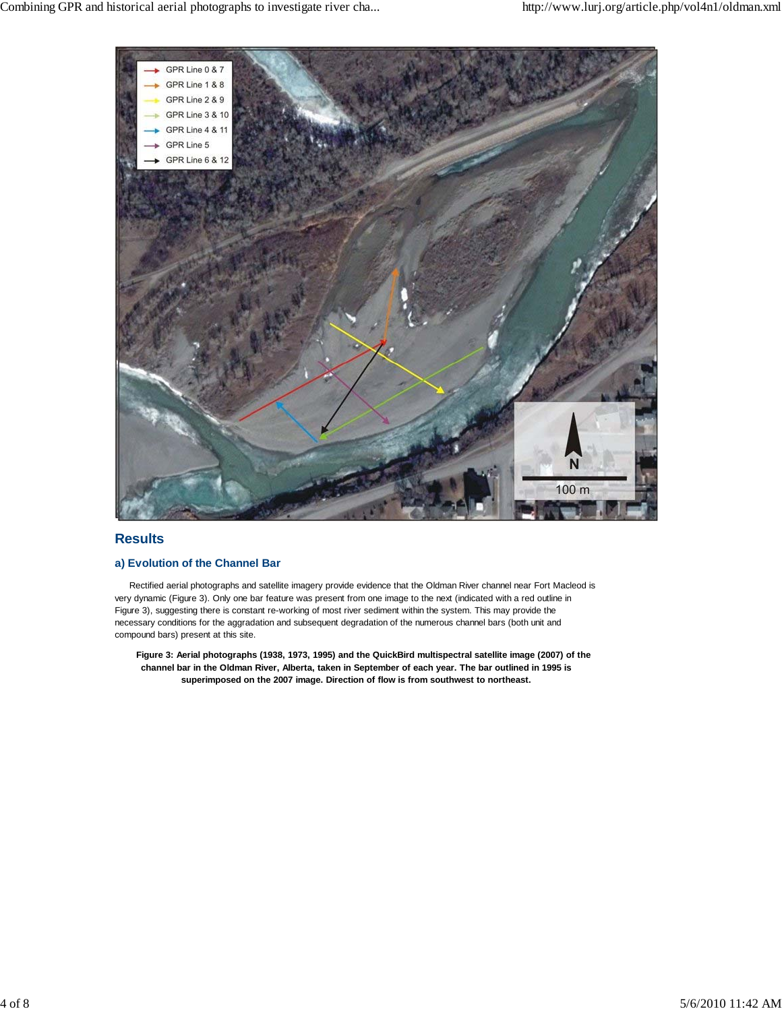

# **Results**

## **a) Evolution of the Channel Bar**

Rectified aerial photographs and satellite imagery provide evidence that the Oldman River channel near Fort Macleod is very dynamic (Figure 3). Only one bar feature was present from one image to the next (indicated with a red outline in Figure 3), suggesting there is constant re-working of most river sediment within the system. This may provide the necessary conditions for the aggradation and subsequent degradation of the numerous channel bars (both unit and compound bars) present at this site.

**Figure 3: Aerial photographs (1938, 1973, 1995) and the QuickBird multispectral satellite image (2007) of the channel bar in the Oldman River, Alberta, taken in September of each year. The bar outlined in 1995 is superimposed on the 2007 image. Direction of flow is from southwest to northeast.**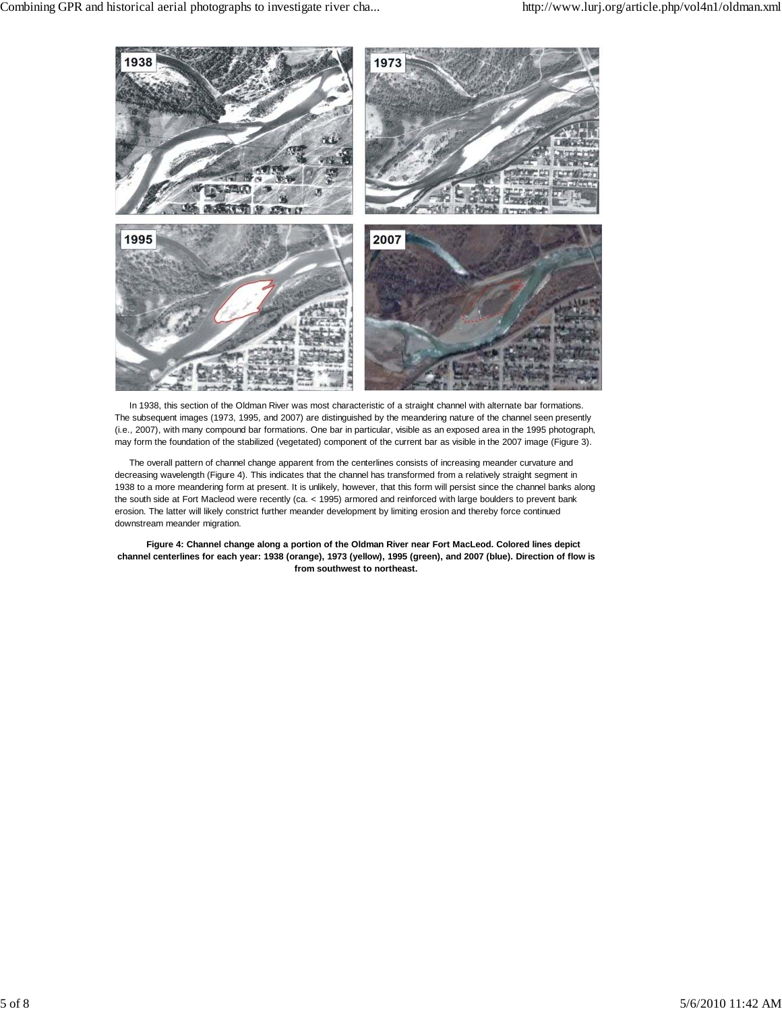

In 1938, this section of the Oldman River was most characteristic of a straight channel with alternate bar formations. The subsequent images (1973, 1995, and 2007) are distinguished by the meandering nature of the channel seen presently (i.e., 2007), with many compound bar formations. One bar in particular, visible as an exposed area in the 1995 photograph, may form the foundation of the stabilized (vegetated) component of the current bar as visible in the 2007 image (Figure 3).

The overall pattern of channel change apparent from the centerlines consists of increasing meander curvature and decreasing wavelength (Figure 4). This indicates that the channel has transformed from a relatively straight segment in 1938 to a more meandering form at present. It is unlikely, however, that this form will persist since the channel banks along the south side at Fort Macleod were recently (ca. < 1995) armored and reinforced with large boulders to prevent bank erosion. The latter will likely constrict further meander development by limiting erosion and thereby force continued downstream meander migration.

**Figure 4: Channel change along a portion of the Oldman River near Fort MacLeod. Colored lines depict channel centerlines for each year: 1938 (orange), 1973 (yellow), 1995 (green), and 2007 (blue). Direction of flow is from southwest to northeast.**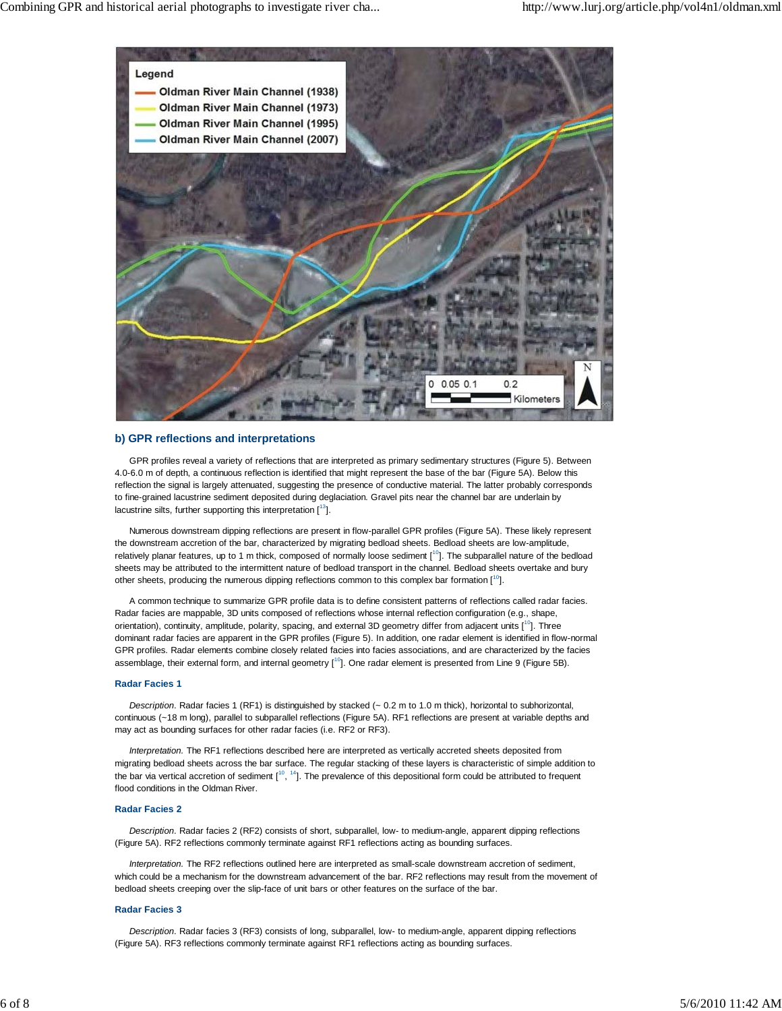

## **b) GPR reflections and interpretations**

GPR profiles reveal a variety of reflections that are interpreted as primary sedimentary structures (Figure 5). Between 4.0-6.0 m of depth, a continuous reflection is identified that might represent the base of the bar (Figure 5A). Below this reflection the signal is largely attenuated, suggesting the presence of conductive material. The latter probably corresponds to fine-grained lacustrine sediment deposited during deglaciation. Gravel pits near the channel bar are underlain by lacustrine silts, further supporting this interpretation  $[13]$ .

Numerous downstream dipping reflections are present in flow-parallel GPR profiles (Figure 5A). These likely represent the downstream accretion of the bar, characterized by migrating bedload sheets. Bedload sheets are low-amplitude, relatively planar features, up to 1 m thick, composed of normally loose sediment  $[1^0]$ . The subparallel nature of the bedload sheets may be attributed to the intermittent nature of bedload transport in the channel. Bedload sheets overtake and bury other sheets, producing the numerous dipping reflections common to this complex bar formation [<sup>10</sup>].

A common technique to summarize GPR profile data is to define consistent patterns of reflections called radar facies. Radar facies are mappable, 3D units composed of reflections whose internal reflection configuration (e.g., shape, orientation), continuity, amplitude, polarity, spacing, and external 3D geometry differ from adjacent units  $[1^0]$ . Three dominant radar facies are apparent in the GPR profiles (Figure 5). In addition, one radar element is identified in flow-normal GPR profiles. Radar elements combine closely related facies into facies associations, and are characterized by the facies assemblage, their external form, and internal geometry  $[1^0]$ . One radar element is presented from Line 9 (Figure 5B).

### **Radar Facies 1**

*Description*. Radar facies 1 (RF1) is distinguished by stacked (~ 0.2 m to 1.0 m thick), horizontal to subhorizontal, continuous (~18 m long), parallel to subparallel reflections (Figure 5A). RF1 reflections are present at variable depths and may act as bounding surfaces for other radar facies (i.e. RF2 or RF3).

*Interpretation.* The RF1 reflections described here are interpreted as vertically accreted sheets deposited from migrating bedload sheets across the bar surface. The regular stacking of these layers is characteristic of simple addition to the bar via vertical accretion of sediment  $I^{10}$ ,  $14$ ]. The prevalence of this depositional form could be attributed to frequent flood conditions in the Oldman River.

### **Radar Facies 2**

*Description*. Radar facies 2 (RF2) consists of short, subparallel, low- to medium-angle, apparent dipping reflections (Figure 5A). RF2 reflections commonly terminate against RF1 reflections acting as bounding surfaces.

*Interpretation.* The RF2 reflections outlined here are interpreted as small-scale downstream accretion of sediment, which could be a mechanism for the downstream advancement of the bar. RF2 reflections may result from the movement of bedload sheets creeping over the slip-face of unit bars or other features on the surface of the bar.

### **Radar Facies 3**

*Description*. Radar facies 3 (RF3) consists of long, subparallel, low- to medium-angle, apparent dipping reflections (Figure 5A). RF3 reflections commonly terminate against RF1 reflections acting as bounding surfaces.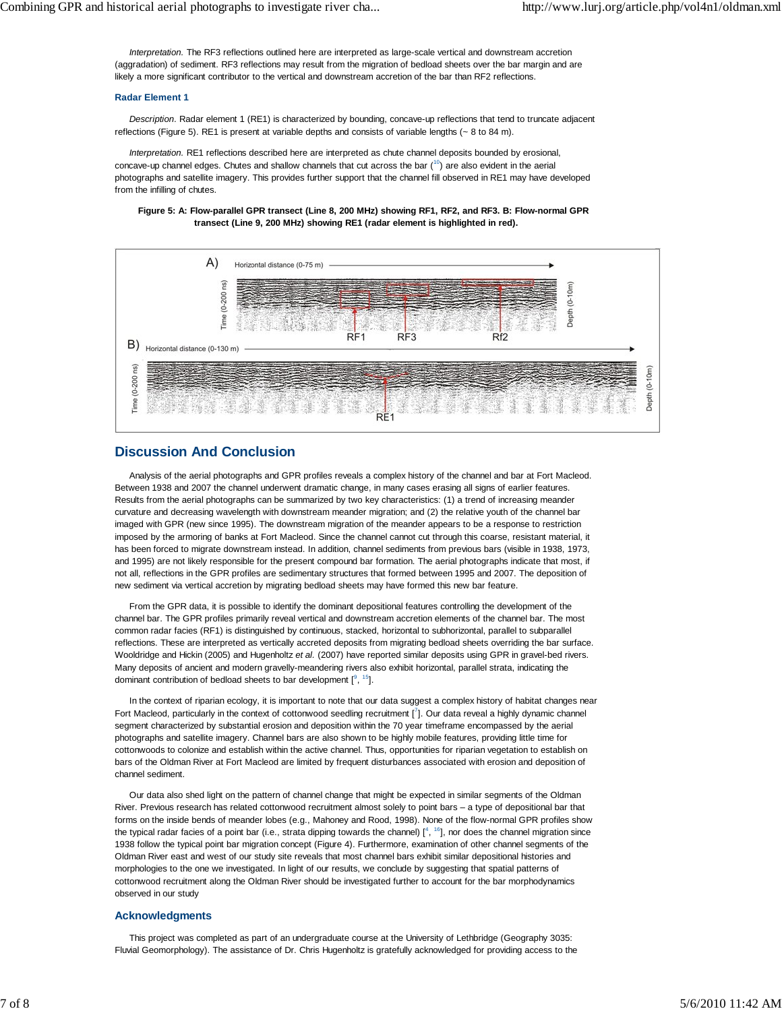*Interpretation.* The RF3 reflections outlined here are interpreted as large-scale vertical and downstream accretion (aggradation) of sediment. RF3 reflections may result from the migration of bedload sheets over the bar margin and are likely a more significant contributor to the vertical and downstream accretion of the bar than RF2 reflections.

#### **Radar Element 1**

*Description*. Radar element 1 (RE1) is characterized by bounding, concave-up reflections that tend to truncate adjacent reflections (Figure 5). RE1 is present at variable depths and consists of variable lengths (~ 8 to 84 m).

*Interpretation.* RE1 reflections described here are interpreted as chute channel deposits bounded by erosional, concave-up channel edges. Chutes and shallow channels that cut across the bar  $(10)$  are also evident in the aerial photographs and satellite imagery. This provides further support that the channel fill observed in RE1 may have developed from the infilling of chutes.

#### **Figure 5: A: Flow-parallel GPR transect (Line 8, 200 MHz) showing RF1, RF2, and RF3. B: Flow-normal GPR transect (Line 9, 200 MHz) showing RE1 (radar element is highlighted in red).**



## **Discussion And Conclusion**

Analysis of the aerial photographs and GPR profiles reveals a complex history of the channel and bar at Fort Macleod. Between 1938 and 2007 the channel underwent dramatic change, in many cases erasing all signs of earlier features. Results from the aerial photographs can be summarized by two key characteristics: (1) a trend of increasing meander curvature and decreasing wavelength with downstream meander migration; and (2) the relative youth of the channel bar imaged with GPR (new since 1995). The downstream migration of the meander appears to be a response to restriction imposed by the armoring of banks at Fort Macleod. Since the channel cannot cut through this coarse, resistant material, it has been forced to migrate downstream instead. In addition, channel sediments from previous bars (visible in 1938, 1973, and 1995) are not likely responsible for the present compound bar formation. The aerial photographs indicate that most, if not all, reflections in the GPR profiles are sedimentary structures that formed between 1995 and 2007. The deposition of new sediment via vertical accretion by migrating bedload sheets may have formed this new bar feature.

From the GPR data, it is possible to identify the dominant depositional features controlling the development of the channel bar. The GPR profiles primarily reveal vertical and downstream accretion elements of the channel bar. The most common radar facies (RF1) is distinguished by continuous, stacked, horizontal to subhorizontal, parallel to subparallel reflections. These are interpreted as vertically accreted deposits from migrating bedload sheets overriding the bar surface. Wooldridge and Hickin (2005) and Hugenholtz *et al.* (2007) have reported similar deposits using GPR in gravel-bed rivers. Many deposits of ancient and modern gravelly-meandering rivers also exhibit horizontal, parallel strata, indicating the dominant contribution of bedload sheets to bar development  $[9, 15]$ .

In the context of riparian ecology, it is important to note that our data suggest a complex history of habitat changes near Fort Macleod, particularly in the context of cottonwood seedling recruitment [<sup>7</sup>]. Our data reveal a highly dynamic channel segment characterized by substantial erosion and deposition within the 70 year timeframe encompassed by the aerial photographs and satellite imagery. Channel bars are also shown to be highly mobile features, providing little time for cottonwoods to colonize and establish within the active channel. Thus, opportunities for riparian vegetation to establish on bars of the Oldman River at Fort Macleod are limited by frequent disturbances associated with erosion and deposition of channel sediment.

Our data also shed light on the pattern of channel change that might be expected in similar segments of the Oldman River. Previous research has related cottonwood recruitment almost solely to point bars – a type of depositional bar that forms on the inside bends of meander lobes (e.g., Mahoney and Rood, 1998). None of the flow-normal GPR profiles show the typical radar facies of a point bar (i.e., strata dipping towards the channel)  $[1^4, 1^6]$ , nor does the channel migration since 1938 follow the typical point bar migration concept (Figure 4). Furthermore, examination of other channel segments of the Oldman River east and west of our study site reveals that most channel bars exhibit similar depositional histories and morphologies to the one we investigated. In light of our results, we conclude by suggesting that spatial patterns of cottonwood recruitment along the Oldman River should be investigated further to account for the bar morphodynamics observed in our study

#### **Acknowledgments**

This project was completed as part of an undergraduate course at the University of Lethbridge (Geography 3035: Fluvial Geomorphology). The assistance of Dr. Chris Hugenholtz is gratefully acknowledged for providing access to the